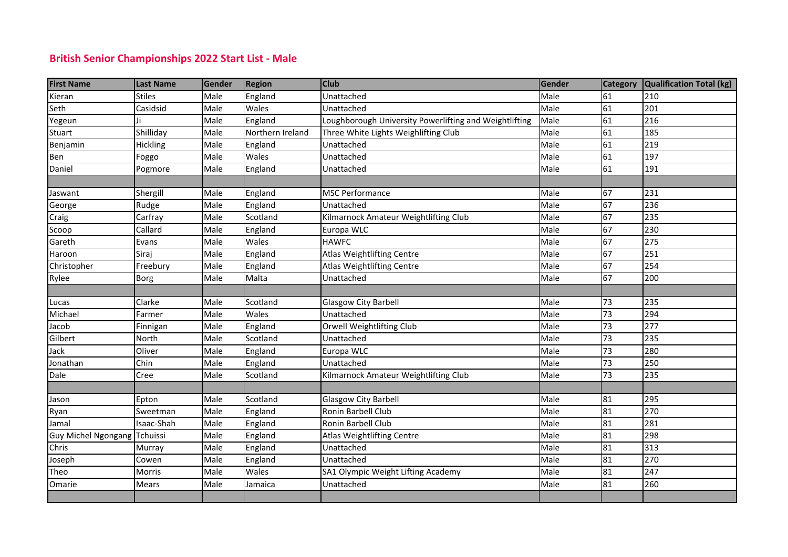## **British Senior Championships 2022 Start List - Male**

| <b>First Name</b>            | <b>Last Name</b> | Gender | <b>Region</b>    | <b>Club</b>                                            | Gender | <b>Category</b> | Qualification Total (kg) |
|------------------------------|------------------|--------|------------------|--------------------------------------------------------|--------|-----------------|--------------------------|
| Kieran                       | <b>Stiles</b>    | Male   | England          | Unattached                                             | Male   | 61              | 210                      |
| Seth                         | Casidsid         | Male   | Wales            | Unattached                                             | Male   | 61              | 201                      |
| Yegeun                       |                  | Male   | England          | Loughborough University Powerlifting and Weightlifting | Male   | 61              | 216                      |
| Stuart                       | Shilliday        | Male   | Northern Ireland | Three White Lights Weighlifting Club                   | Male   | 61              | 185                      |
| Benjamin                     | Hickling         | Male   | England          | Unattached                                             | Male   | 61              | 219                      |
| Ben                          | Foggo            | Male   | Wales            | Unattached                                             | Male   | 61              | 197                      |
| Daniel                       | Pogmore          | Male   | England          | Unattached                                             | Male   | 61              | 191                      |
|                              |                  |        |                  |                                                        |        |                 |                          |
| Jaswant                      | Shergill         | Male   | England          | <b>MSC Performance</b>                                 | Male   | 67              | 231                      |
| George                       | Rudge            | Male   | England          | Unattached                                             | Male   | 67              | 236                      |
| Craig                        | Carfray          | Male   | Scotland         | Kilmarnock Amateur Weightlifting Club                  | Male   | 67              | 235                      |
| Scoop                        | Callard          | Male   | England          | Europa WLC                                             | Male   | 67              | 230                      |
| Gareth                       | Evans            | Male   | Wales            | <b>HAWFC</b>                                           | Male   | 67              | 275                      |
| Haroon                       | Siraj            | Male   | England          | Atlas Weightlifting Centre                             | Male   | 67              | 251                      |
| Christopher                  | Freebury         | Male   | England          | Atlas Weightlifting Centre                             | Male   | 67              | 254                      |
| Rylee                        | Borg             | Male   | Malta            | Unattached                                             | Male   | 67              | 200                      |
|                              |                  |        |                  |                                                        |        |                 |                          |
| Lucas                        | Clarke           | Male   | Scotland         | <b>Glasgow City Barbell</b>                            | Male   | 73              | 235                      |
| Michael                      | Farmer           | Male   | Wales            | Unattached                                             | Male   | 73              | 294                      |
| Jacob                        | Finnigan         | Male   | England          | Orwell Weightlifting Club                              | Male   | 73              | 277                      |
| Gilbert                      | North            | Male   | Scotland         | Unattached                                             | Male   | 73              | 235                      |
| Jack                         | Oliver           | Male   | England          | Europa WLC                                             | Male   | 73              | 280                      |
| Jonathan                     | Chin             | Male   | England          | Unattached                                             | Male   | 73              | 250                      |
| Dale                         | Cree             | Male   | Scotland         | Kilmarnock Amateur Weightlifting Club                  | Male   | 73              | 235                      |
|                              |                  |        |                  |                                                        |        |                 |                          |
| Jason                        | Epton            | Male   | Scotland         | <b>Glasgow City Barbell</b>                            | Male   | 81              | 295                      |
| Ryan                         | Sweetman         | Male   | England          | Ronin Barbell Club                                     | Male   | 81              | 270                      |
| Jamal                        | Isaac-Shah       | Male   | England          | Ronin Barbell Club                                     | Male   | 81              | 281                      |
| Guy Michel Ngongang Tchuissi |                  | Male   | England          | Atlas Weightlifting Centre                             | Male   | 81              | 298                      |
| Chris                        | Murray           | Male   | England          | Unattached                                             | Male   | 81              | 313                      |
| Joseph                       | Cowen            | Male   | England          | Unattached                                             | Male   | 81              | 270                      |
| Theo                         | Morris           | Male   | Wales            | SA1 Olympic Weight Lifting Academy                     | Male   | 81              | 247                      |
| Omarie                       | Mears            | Male   | Jamaica          | Unattached                                             | Male   | 81              | 260                      |
|                              |                  |        |                  |                                                        |        |                 |                          |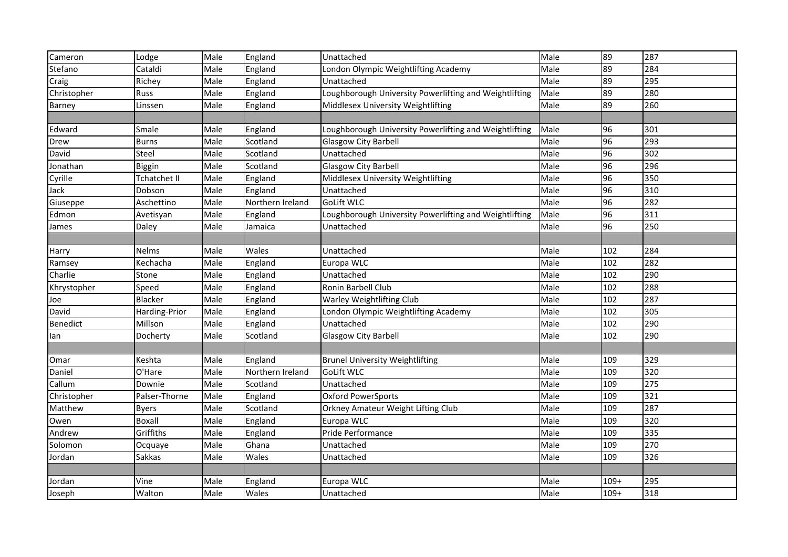| Cameron         | Lodge               | Male | England          | Unattached                                             | Male | 89              | 287 |
|-----------------|---------------------|------|------------------|--------------------------------------------------------|------|-----------------|-----|
| Stefano         | Cataldi             | Male | England          | London Olympic Weightlifting Academy                   | Male | 89              | 284 |
| Craig           | Richey              | Male | England          | Unattached                                             | Male | 89              | 295 |
| Christopher     | Russ                | Male | England          | Loughborough University Powerlifting and Weightlifting | Male | 89              | 280 |
| Barney          | Linssen             | Male | England          | Middlesex University Weightlifting                     | Male | 89              | 260 |
|                 |                     |      |                  |                                                        |      |                 |     |
| Edward          | Smale               | Male | England          | Loughborough University Powerlifting and Weightlifting | Male | 96              | 301 |
| <b>Drew</b>     | <b>Burns</b>        | Male | Scotland         | <b>Glasgow City Barbell</b>                            | Male | 96              | 293 |
| David           | Steel               | Male | Scotland         | Unattached                                             | Male | 96              | 302 |
| Jonathan        | Biggin              | Male | Scotland         | Glasgow City Barbell                                   | Male | 96              | 296 |
| Cyrille         | <b>Tchatchet II</b> | Male | England          | Middlesex University Weightlifting                     | Male | 96              | 350 |
| Jack            | Dobson              | Male | England          | Unattached                                             | Male | 96              | 310 |
| Giuseppe        | Aschettino          | Male | Northern Ireland | GoLift WLC                                             | Male | 96              | 282 |
| Edmon           | Avetisyan           | Male | England          | Loughborough University Powerlifting and Weightlifting | Male | $\overline{96}$ | 311 |
| James           | Daley               | Male | Jamaica          | Unattached                                             | Male | 96              | 250 |
|                 |                     |      |                  |                                                        |      |                 |     |
| Harry           | Nelms               | Male | Wales            | Unattached                                             | Male | 102             | 284 |
| Ramsey          | Kechacha            | Male | England          | Europa WLC                                             | Male | 102             | 282 |
| Charlie         | Stone               | Male | England          | Unattached                                             | Male | 102             | 290 |
| Khrystopher     | Speed               | Male | England          | Ronin Barbell Club                                     | Male | 102             | 288 |
| Joe             | <b>Blacker</b>      | Male | England          | <b>Warley Weightlifting Club</b>                       | Male | 102             | 287 |
| David           | Harding-Prior       | Male | England          | London Olympic Weightlifting Academy                   | Male | 102             | 305 |
| <b>Benedict</b> | Millson             | Male | England          | Unattached                                             | Male | 102             | 290 |
| lan             | Docherty            | Male | Scotland         | <b>Glasgow City Barbell</b>                            | Male | 102             | 290 |
|                 |                     |      |                  |                                                        |      |                 |     |
| Omar            | Keshta              | Male | England          | <b>Brunel University Weightlifting</b>                 | Male | 109             | 329 |
| Daniel          | O'Hare              | Male | Northern Ireland | <b>GoLift WLC</b>                                      | Male | 109             | 320 |
| Callum          | Downie              | Male | Scotland         | Unattached                                             | Male | 109             | 275 |
| Christopher     | Palser-Thorne       | Male | England          | <b>Oxford PowerSports</b>                              | Male | 109             | 321 |
| Matthew         | <b>Byers</b>        | Male | Scotland         | Orkney Amateur Weight Lifting Club                     | Male | 109             | 287 |
| Owen            | Boxall              | Male | England          | Europa WLC                                             | Male | 109             | 320 |
| Andrew          | Griffiths           | Male | England          | Pride Performance                                      | Male | 109             | 335 |
| Solomon         | Ocquaye             | Male | Ghana            | Unattached                                             | Male | 109             | 270 |
| Jordan          | Sakkas              | Male | Wales            | Unattached                                             | Male | 109             | 326 |
|                 |                     |      |                  |                                                        |      |                 |     |
| Jordan          | Vine                | Male | England          | Europa WLC                                             | Male | $109+$          | 295 |
| Joseph          | Walton              | Male | Wales            | Unattached                                             | Male | $109+$          | 318 |
|                 |                     |      |                  |                                                        |      |                 |     |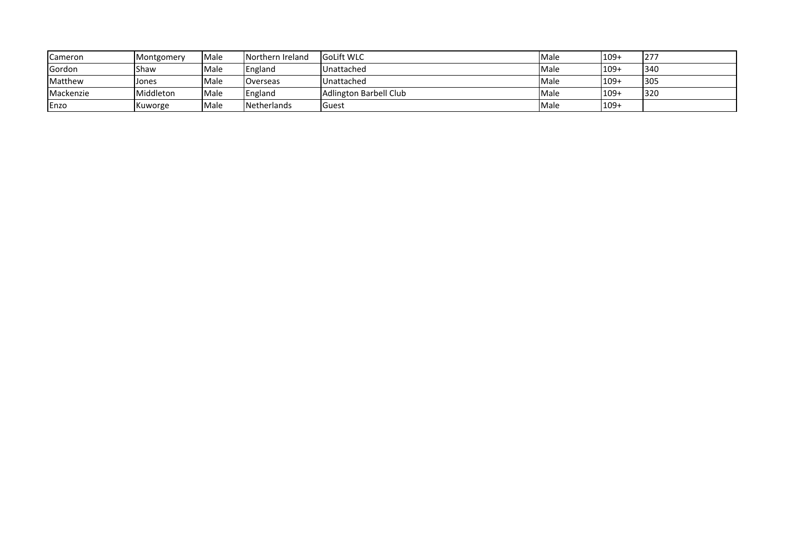| <b>Cameron</b> | Montgomery | Male | Northern Ireland   | <b>GoLift WLC</b>             | Male | $109+$  | 277        |
|----------------|------------|------|--------------------|-------------------------------|------|---------|------------|
| Gordon         | Shaw       | Male | England            | Unattached                    | Male | $109+$  | 340        |
| Matthew        | Jones      | Male | Overseas           | Unattached                    | Male | $109 +$ | 305        |
| Mackenzie      | Middleton  | Male | England            | <b>Adlington Barbell Club</b> | Male | $109 +$ | <b>320</b> |
| Enzo           | Kuworge    | Male | <b>Netherlands</b> | <b>I</b> Guest                | Male | $1109+$ |            |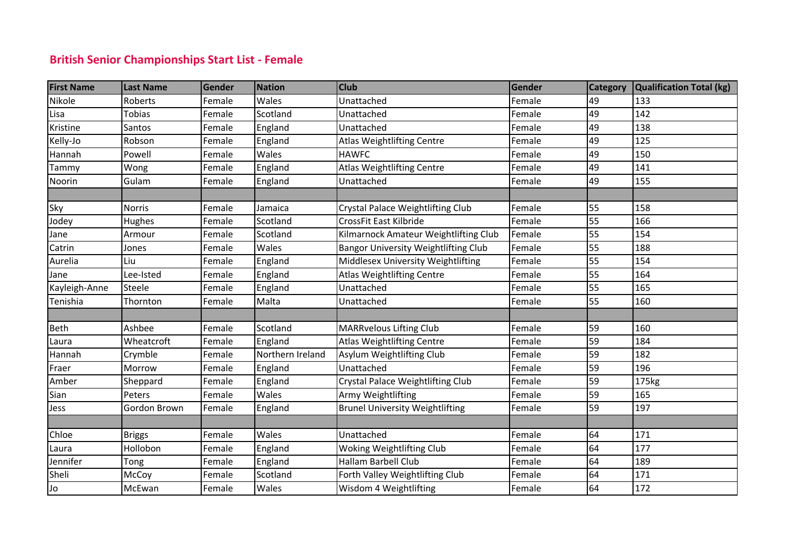## **British Senior Championships Start List - Female**

| <b>First Name</b> | <b>Last Name</b> | Gender | <b>Nation</b>    | <b>Club</b>                                 | Gender | Category | Qualification Total (kg) |
|-------------------|------------------|--------|------------------|---------------------------------------------|--------|----------|--------------------------|
| Nikole            | Roberts          | Female | Wales            | Unattached                                  | Female | 49       | 133                      |
| Lisa              | Tobias           | Female | Scotland         | Unattached                                  | Female | 49       | 142                      |
| Kristine          | Santos           | Female | England          | Unattached                                  | Female | 49       | 138                      |
| Kelly-Jo          | Robson           | Female | England          | <b>Atlas Weightlifting Centre</b>           | Female | 49       | 125                      |
| Hannah            | Powell           | Female | Wales            | <b>HAWFC</b>                                | Female | 49       | 150                      |
| Tammy             | Wong             | Female | England          | <b>Atlas Weightlifting Centre</b>           | Female | 49       | 141                      |
| Noorin            | Gulam            | Female | England          | Unattached                                  | Female | 49       | 155                      |
|                   |                  |        |                  |                                             |        |          |                          |
| Sky               | <b>Norris</b>    | Female | Jamaica          | Crystal Palace Weightlifting Club           | Female | 55       | 158                      |
| Jodey             | Hughes           | Female | Scotland         | CrossFit East Kilbride                      | Female | 55       | 166                      |
| Jane              | Armour           | Female | Scotland         | Kilmarnock Amateur Weightlifting Club       | Female | 55       | 154                      |
| Catrin            | Jones            | Female | Wales            | <b>Bangor University Weightlifting Club</b> | Female | 55       | 188                      |
| Aurelia           | Liu              | Female | England          | Middlesex University Weightlifting          | Female | 55       | 154                      |
| Jane              | Lee-Isted        | Female | England          | Atlas Weightlifting Centre                  | Female | 55       | 164                      |
| Kayleigh-Anne     | Steele           | Female | England          | Unattached                                  | Female | 55       | 165                      |
| Tenishia          | Thornton         | Female | Malta            | Unattached                                  | Female | 55       | 160                      |
|                   |                  |        |                  |                                             |        |          |                          |
| Beth              | Ashbee           | Female | Scotland         | <b>MARRvelous Lifting Club</b>              | Female | 59       | 160                      |
| Laura             | Wheatcroft       | Female | England          | <b>Atlas Weightlifting Centre</b>           | Female | 59       | 184                      |
| Hannah            | Crymble          | Female | Northern Ireland | Asylum Weightlifting Club                   | Female | 59       | 182                      |
| Fraer             | Morrow           | Female | England          | Unattached                                  | Female | 59       | 196                      |
| Amber             | Sheppard         | Female | England          | Crystal Palace Weightlifting Club           | Female | 59       | 175kg                    |
| Sian              | Peters           | Female | Wales            | Army Weightlifting                          | Female | 59       | 165                      |
| Jess              | Gordon Brown     | Female | England          | <b>Brunel University Weightlifting</b>      | Female | 59       | 197                      |
|                   |                  |        |                  |                                             |        |          |                          |
| Chloe             | <b>Briggs</b>    | Female | Wales            | Unattached                                  | Female | 64       | 171                      |
| Laura             | Hollobon         | Female | England          | Woking Weightlifting Club                   | Female | 64       | 177                      |
| Jennifer          | Tong             | Female | England          | Hallam Barbell Club                         | Female | 64       | 189                      |
| Sheli             | McCoy            | Female | Scotland         | Forth Valley Weightlifting Club             | Female | 64       | 171                      |
| Jo                | McEwan           | Female | Wales            | Wisdom 4 Weightlifting                      | Female | 64       | 172                      |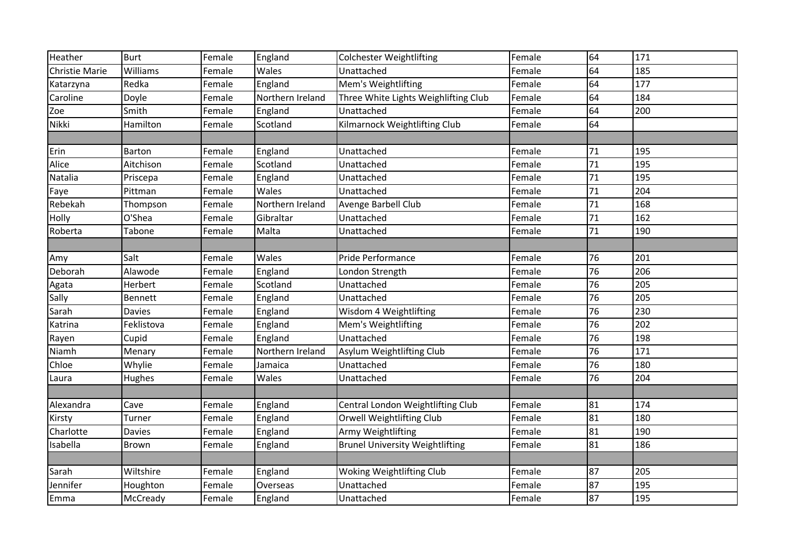| Heather               | <b>Burt</b>   | Female | England          | <b>Colchester Weightlifting</b>        | Female | 64              | 171 |
|-----------------------|---------------|--------|------------------|----------------------------------------|--------|-----------------|-----|
| <b>Christie Marie</b> | Williams      | Female | Wales            | Unattached                             | Female | 64              | 185 |
| Katarzyna             | Redka         | Female | England          | Mem's Weightlifting                    | Female | 64              | 177 |
| Caroline              | Doyle         | Female | Northern Ireland | Three White Lights Weighlifting Club   | Female | 64              | 184 |
| Zoe                   | Smith         | Female | England          | Unattached                             | Female | 64              | 200 |
| Nikki                 | Hamilton      | Female | Scotland         | Kilmarnock Weightlifting Club          | Female | 64              |     |
|                       |               |        |                  |                                        |        |                 |     |
| Erin                  | Barton        | Female | England          | Unattached                             | Female | 71              | 195 |
| Alice                 | Aitchison     | Female | Scotland         | Unattached                             | Female | 71              | 195 |
| Natalia               | Priscepa      | Female | England          | Unattached                             | Female | 71              | 195 |
| Faye                  | Pittman       | Female | Wales            | Unattached                             | Female | 71              | 204 |
| Rebekah               | Thompson      | Female | Northern Ireland | Avenge Barbell Club                    | Female | 71              | 168 |
| Holly                 | O'Shea        | Female | Gibraltar        | Unattached                             | Female | 71              | 162 |
| Roberta               | Tabone        | Female | Malta            | Unattached                             | Female | 71              | 190 |
|                       |               |        |                  |                                        |        |                 |     |
| Amy                   | Salt          | Female | Wales            | Pride Performance                      | Female | 76              | 201 |
| Deborah               | Alawode       | Female | England          | London Strength                        | Female | 76              | 206 |
| Agata                 | Herbert       | Female | Scotland         | Unattached                             | Female | 76              | 205 |
| Sally                 | Bennett       | Female | England          | Unattached                             | Female | 76              | 205 |
| Sarah                 | <b>Davies</b> | Female | England          | Wisdom 4 Weightlifting                 | Female | 76              | 230 |
| Katrina               | Feklistova    | Female | England          | Mem's Weightlifting                    | Female | $\overline{76}$ | 202 |
| Rayen                 | Cupid         | Female | England          | Unattached                             | Female | 76              | 198 |
| Niamh                 | Menary        | Female | Northern Ireland | Asylum Weightlifting Club              | Female | 76              | 171 |
| Chloe                 | Whylie        | Female | Jamaica          | Unattached                             | Female | 76              | 180 |
| Laura                 | Hughes        | Female | Wales            | Unattached                             | Female | 76              | 204 |
|                       |               |        |                  |                                        |        |                 |     |
| Alexandra             | Cave          | Female | England          | Central London Weightlifting Club      | Female | 81              | 174 |
| Kirsty                | Turner        | Female | England          | Orwell Weightlifting Club              | Female | 81              | 180 |
| Charlotte             | <b>Davies</b> | Female | England          | Army Weightlifting                     | Female | 81              | 190 |
| Isabella              | Brown         | Female | England          | <b>Brunel University Weightlifting</b> | Female | 81              | 186 |
|                       |               |        |                  |                                        |        |                 |     |
| Sarah                 | Wiltshire     | Female | England          | Woking Weightlifting Club              | Female | 87              | 205 |
| Jennifer              | Houghton      | Female | Overseas         | Unattached                             | Female | 87              | 195 |
| Emma                  | McCready      | Female | England          | Unattached                             | Female | 87              | 195 |